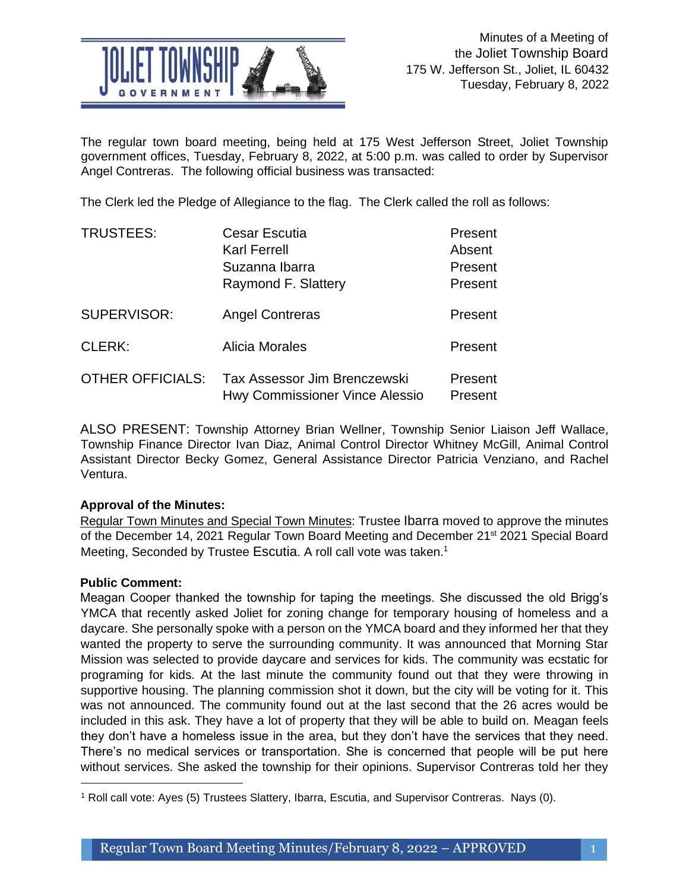

The regular town board meeting, being held at 175 West Jefferson Street, Joliet Township government offices, Tuesday, February 8, 2022, at 5:00 p.m. was called to order by Supervisor Angel Contreras. The following official business was transacted:

The Clerk led the Pledge of Allegiance to the flag. The Clerk called the roll as follows:

| <b>TRUSTEES:</b>        | <b>Cesar Escutia</b>                                           | Present            |
|-------------------------|----------------------------------------------------------------|--------------------|
|                         | <b>Karl Ferrell</b>                                            | Absent             |
|                         | Suzanna Ibarra                                                 | Present            |
|                         | Raymond F. Slattery                                            | Present            |
| SUPERVISOR:             | <b>Angel Contreras</b>                                         | Present            |
| <b>CLERK:</b>           | <b>Alicia Morales</b>                                          | Present            |
| <b>OTHER OFFICIALS:</b> | Tax Assessor Jim Brenczewski<br>Hwy Commissioner Vince Alessio | Present<br>Present |

ALSO PRESENT: Township Attorney Brian Wellner, Township Senior Liaison Jeff Wallace, Township Finance Director Ivan Diaz, Animal Control Director Whitney McGill, Animal Control Assistant Director Becky Gomez, General Assistance Director Patricia Venziano, and Rachel Ventura.

# **Approval of the Minutes:**

Regular Town Minutes and Special Town Minutes: Trustee Ibarra moved to approve the minutes of the December 14, 2021 Regular Town Board Meeting and December 21<sup>st</sup> 2021 Special Board Meeting, Seconded by Trustee Escutia. A roll call vote was taken.<sup>1</sup>

## **Public Comment:**

Meagan Cooper thanked the township for taping the meetings. She discussed the old Brigg's YMCA that recently asked Joliet for zoning change for temporary housing of homeless and a daycare. She personally spoke with a person on the YMCA board and they informed her that they wanted the property to serve the surrounding community. It was announced that Morning Star Mission was selected to provide daycare and services for kids. The community was ecstatic for programing for kids. At the last minute the community found out that they were throwing in supportive housing. The planning commission shot it down, but the city will be voting for it. This was not announced. The community found out at the last second that the 26 acres would be included in this ask. They have a lot of property that they will be able to build on. Meagan feels they don't have a homeless issue in the area, but they don't have the services that they need. There's no medical services or transportation. She is concerned that people will be put here without services. She asked the township for their opinions. Supervisor Contreras told her they

j <sup>1</sup> Roll call vote: Ayes (5) Trustees Slattery, Ibarra, Escutia, and Supervisor Contreras. Nays (0).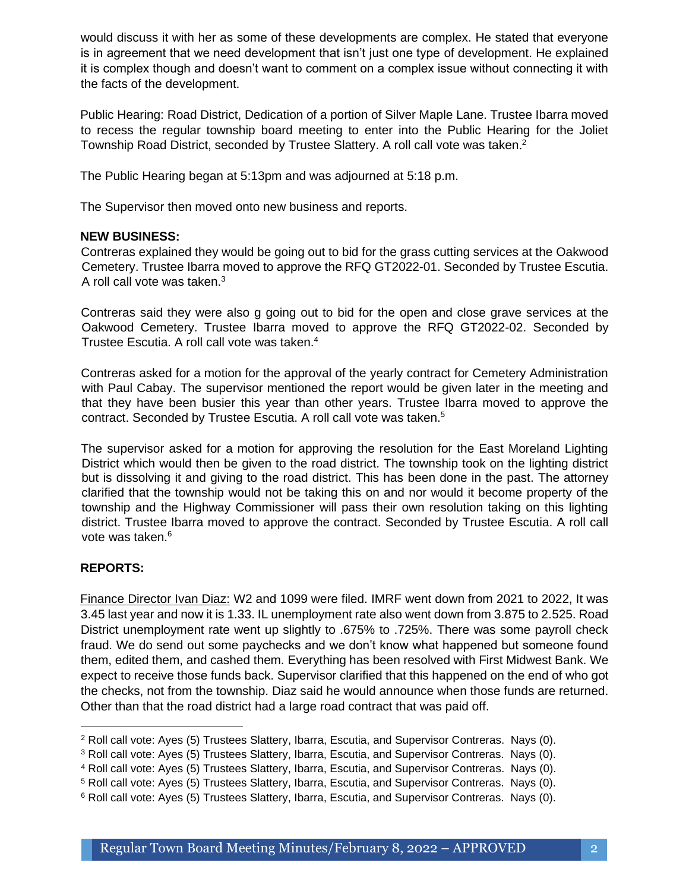would discuss it with her as some of these developments are complex. He stated that everyone is in agreement that we need development that isn't just one type of development. He explained it is complex though and doesn't want to comment on a complex issue without connecting it with the facts of the development.

Public Hearing: Road District, Dedication of a portion of Silver Maple Lane. Trustee Ibarra moved to recess the regular township board meeting to enter into the Public Hearing for the Joliet Township Road District, seconded by Trustee Slattery. A roll call vote was taken.<sup>2</sup>

The Public Hearing began at 5:13pm and was adjourned at 5:18 p.m.

The Supervisor then moved onto new business and reports.

#### **NEW BUSINESS:**

Contreras explained they would be going out to bid for the grass cutting services at the Oakwood Cemetery. Trustee Ibarra moved to approve the RFQ GT2022-01. Seconded by Trustee Escutia. A roll call vote was taken.<sup>3</sup>

Contreras said they were also g going out to bid for the open and close grave services at the Oakwood Cemetery. Trustee Ibarra moved to approve the RFQ GT2022-02. Seconded by Trustee Escutia. A roll call vote was taken.<sup>4</sup>

Contreras asked for a motion for the approval of the yearly contract for Cemetery Administration with Paul Cabay. The supervisor mentioned the report would be given later in the meeting and that they have been busier this year than other years. Trustee Ibarra moved to approve the contract. Seconded by Trustee Escutia. A roll call vote was taken.<sup>5</sup>

The supervisor asked for a motion for approving the resolution for the East Moreland Lighting District which would then be given to the road district. The township took on the lighting district but is dissolving it and giving to the road district. This has been done in the past. The attorney clarified that the township would not be taking this on and nor would it become property of the township and the Highway Commissioner will pass their own resolution taking on this lighting district. Trustee Ibarra moved to approve the contract. Seconded by Trustee Escutia. A roll call vote was taken.<sup>6</sup>

## **REPORTS:**

Finance Director Ivan Diaz: W2 and 1099 were filed. IMRF went down from 2021 to 2022, It was 3.45 last year and now it is 1.33. IL unemployment rate also went down from 3.875 to 2.525. Road District unemployment rate went up slightly to .675% to .725%. There was some payroll check fraud. We do send out some paychecks and we don't know what happened but someone found them, edited them, and cashed them. Everything has been resolved with First Midwest Bank. We expect to receive those funds back. Supervisor clarified that this happened on the end of who got the checks, not from the township. Diaz said he would announce when those funds are returned. Other than that the road district had a large road contract that was paid off.

<sup>2</sup> Roll call vote: Ayes (5) Trustees Slattery, Ibarra, Escutia, and Supervisor Contreras. Nays (0).

<sup>3</sup> Roll call vote: Ayes (5) Trustees Slattery, Ibarra, Escutia, and Supervisor Contreras. Nays (0).

<sup>4</sup> Roll call vote: Ayes (5) Trustees Slattery, Ibarra, Escutia, and Supervisor Contreras. Nays (0).

<sup>&</sup>lt;sup>5</sup> Roll call vote: Ayes (5) Trustees Slattery, Ibarra, Escutia, and Supervisor Contreras. Nays (0).

<sup>6</sup> Roll call vote: Ayes (5) Trustees Slattery, Ibarra, Escutia, and Supervisor Contreras. Nays (0).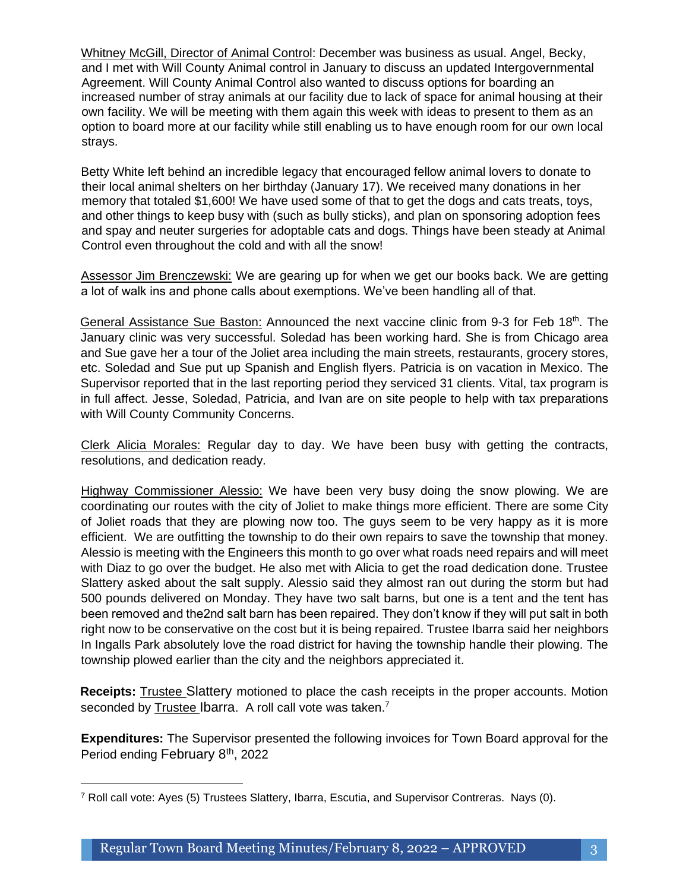Whitney McGill, Director of Animal Control: December was business as usual. Angel, Becky, and I met with Will County Animal control in January to discuss an updated Intergovernmental Agreement. Will County Animal Control also wanted to discuss options for boarding an increased number of stray animals at our facility due to lack of space for animal housing at their own facility. We will be meeting with them again this week with ideas to present to them as an option to board more at our facility while still enabling us to have enough room for our own local strays.

Betty White left behind an incredible legacy that encouraged fellow animal lovers to donate to their local animal shelters on her birthday (January 17). We received many donations in her memory that totaled \$1,600! We have used some of that to get the dogs and cats treats, toys, and other things to keep busy with (such as bully sticks), and plan on sponsoring adoption fees and spay and neuter surgeries for adoptable cats and dogs. Things have been steady at Animal Control even throughout the cold and with all the snow!

Assessor Jim Brenczewski: We are gearing up for when we get our books back. We are getting a lot of walk ins and phone calls about exemptions. We've been handling all of that.

General Assistance Sue Baston: Announced the next vaccine clinic from 9-3 for Feb  $18<sup>th</sup>$ . The January clinic was very successful. Soledad has been working hard. She is from Chicago area and Sue gave her a tour of the Joliet area including the main streets, restaurants, grocery stores, etc. Soledad and Sue put up Spanish and English flyers. Patricia is on vacation in Mexico. The Supervisor reported that in the last reporting period they serviced 31 clients. Vital, tax program is in full affect. Jesse, Soledad, Patricia, and Ivan are on site people to help with tax preparations with Will County Community Concerns.

Clerk Alicia Morales: Regular day to day. We have been busy with getting the contracts, resolutions, and dedication ready.

Highway Commissioner Alessio: We have been very busy doing the snow plowing. We are coordinating our routes with the city of Joliet to make things more efficient. There are some City of Joliet roads that they are plowing now too. The guys seem to be very happy as it is more efficient. We are outfitting the township to do their own repairs to save the township that money. Alessio is meeting with the Engineers this month to go over what roads need repairs and will meet with Diaz to go over the budget. He also met with Alicia to get the road dedication done. Trustee Slattery asked about the salt supply. Alessio said they almost ran out during the storm but had 500 pounds delivered on Monday. They have two salt barns, but one is a tent and the tent has been removed and the2nd salt barn has been repaired. They don't know if they will put salt in both right now to be conservative on the cost but it is being repaired. Trustee Ibarra said her neighbors In Ingalls Park absolutely love the road district for having the township handle their plowing. The township plowed earlier than the city and the neighbors appreciated it.

**Receipts:** Trustee Slattery motioned to place the cash receipts in the proper accounts. Motion seconded by Trustee Ibarra. A roll call vote was taken.<sup>7</sup>

**Expenditures:** The Supervisor presented the following invoices for Town Board approval for the Period ending February 8<sup>th</sup>, 2022

j <sup>7</sup> Roll call vote: Ayes (5) Trustees Slattery, Ibarra, Escutia, and Supervisor Contreras. Nays (0).